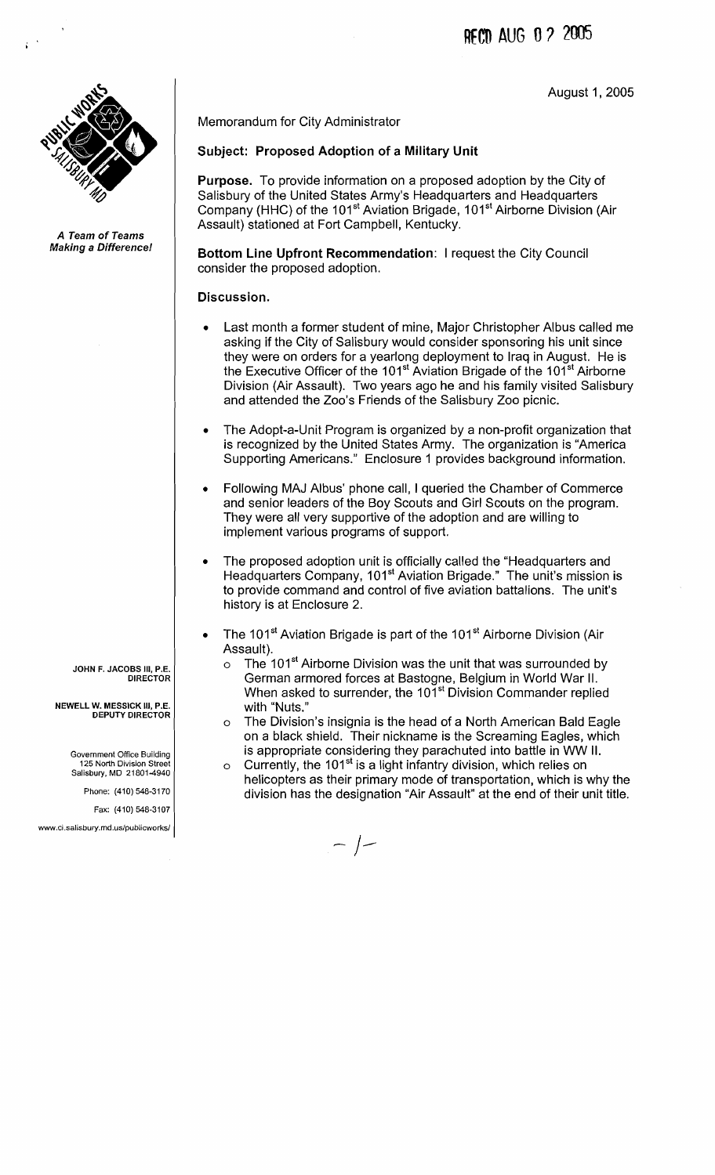RFCn **AUG** 0 3 2005

August 1,2005



**A Team of Teams Making a Difference1** 

> **JOHN F. JACOBS Ill, P.E. DIRECTOR**

**NEWELL W. MESSICK 111, P.E. DEPUTY DIRECTOR** 

Government Office Building **125** North Division Street Salisbury. MD **21801-4940** 

Phone: **(410) 548-31 70** 

Fax: **(410) 548-31 07** 

www.ci.salisbury.md.us/publicworks/

Memorandum for City Administrator

### Subject: Proposed Adoption of a Military Unit

Purpose. To provide information on a proposed adoption by the City of Salisbury of the United States Army's Headquarters and Headquarters Company (HHC) of the 101<sup>st</sup> Aviation Brigade, 101<sup>st</sup> Airborne Division (Air Assault) stationed at Fort Campbell, Kentucky.

Bottom Line Upfront Recommendation: I request the City Council consider the proposed adoption.

#### Discussion.

- Last month a former student of mine, Major Christopher Albus called me asking if the City of Salisbury would consider sponsoring his unit since they were on orders for a yearlong deployment to Iraq in August. He is the Executive Officer of the 101<sup>st</sup> Aviation Brigade of the 101<sup>st</sup> Airborne Division (Air Assault). Two years ago he and his family visited Salisbury and attended the Zoo's Friends of the Salisbury Zoo picnic.
- The Adopt-a-Unit Program is organized by a non-profit organization that is recognized by the United States Army. The organization is "America Supporting Americans." Enclosure 1 provides background information.
- Following MAJ Albus' phone call, I queried the Chamber of Commerce and senior leaders of the Boy Scouts and Girl Scouts on the program. They were all very supportive of the adoption and are willing to implement various programs of support.
- The proposed adoption unit is officially called the "Headquarters and Headquarters Company, 101<sup>st</sup> Aviation Brigade." The unit's mission is to provide command and control of five aviation battalions. The unit's history is at Enclosure 2.
- The 101<sup>st</sup> Aviation Brigade is part of the 101<sup>st</sup> Airborne Division (Air Assault).
	- $\circ$  The 101<sup>st</sup> Airborne Division was the unit that was surrounded by German armored forces at Bastogne, Belgium in World War II. When asked to surrender, the 101<sup>st</sup> Division Commander replied with "Nuts."
	- o The Division's insignia is the head of a North American Bald Eagle on a black shield. Their nickname is the Screaming Eagles, which is appropriate considering they parachuted into battle in WW II.
	- $\circ$  Currently, the 101<sup>st</sup> is a light infantry division, which relies on helicopters as their primary mode of transportation, which is why the division has the designation "Air Assault" at the end of their unit title.

 $-$  /-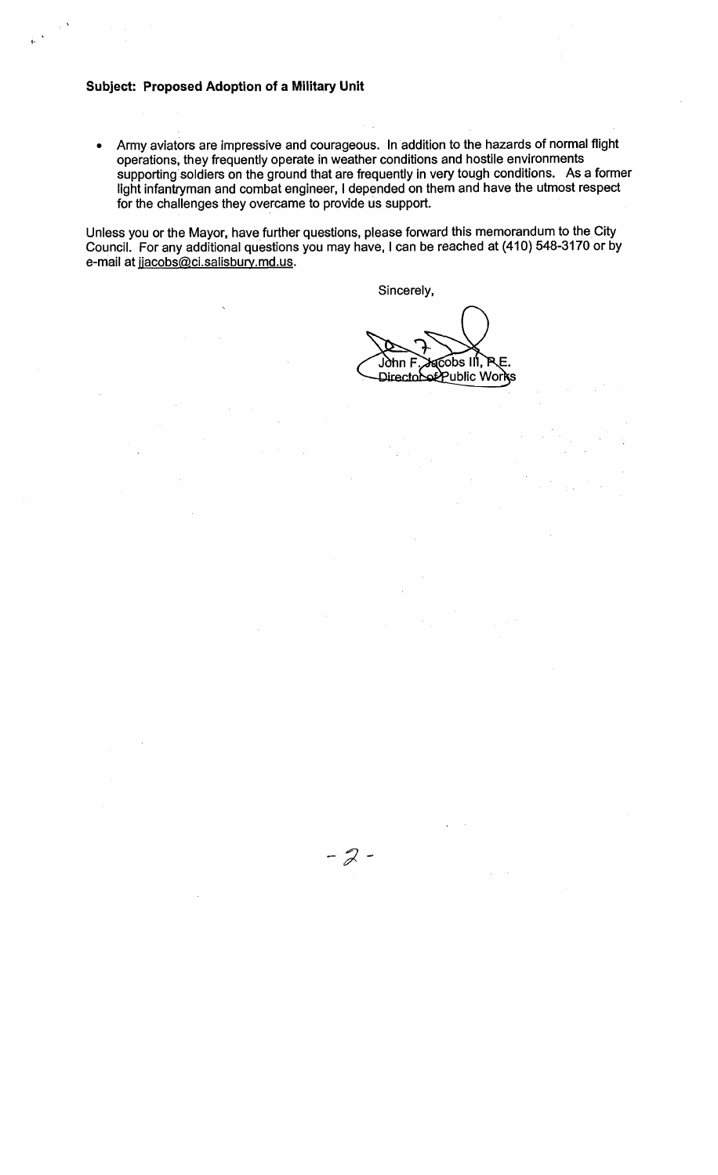#### **Subject: Proposed Adoption of a Military Unit**

Army aviators are impressive and courageous. In addition to the hazards of normal flight  $\bullet$ operations, they frequently operate in weather conditions and hostile environments supporting soldiers on the ground that are frequently in very tough conditions. As a former light infantryman and combat engineer, I depended on them and have the utmost respect for the challenges they overcame to provide us support.

Unless you or the Mayor, have further questions, please forward this memorandum to the City Council. For any additional questions you may have, I can be reached at (410) 548-3170 or by e-mail at jjacobs@ci.salisbury.md.us.

 $-2-$ 

Sincerely,

**AGODS III, P** .l∂hn F Directobot Public Works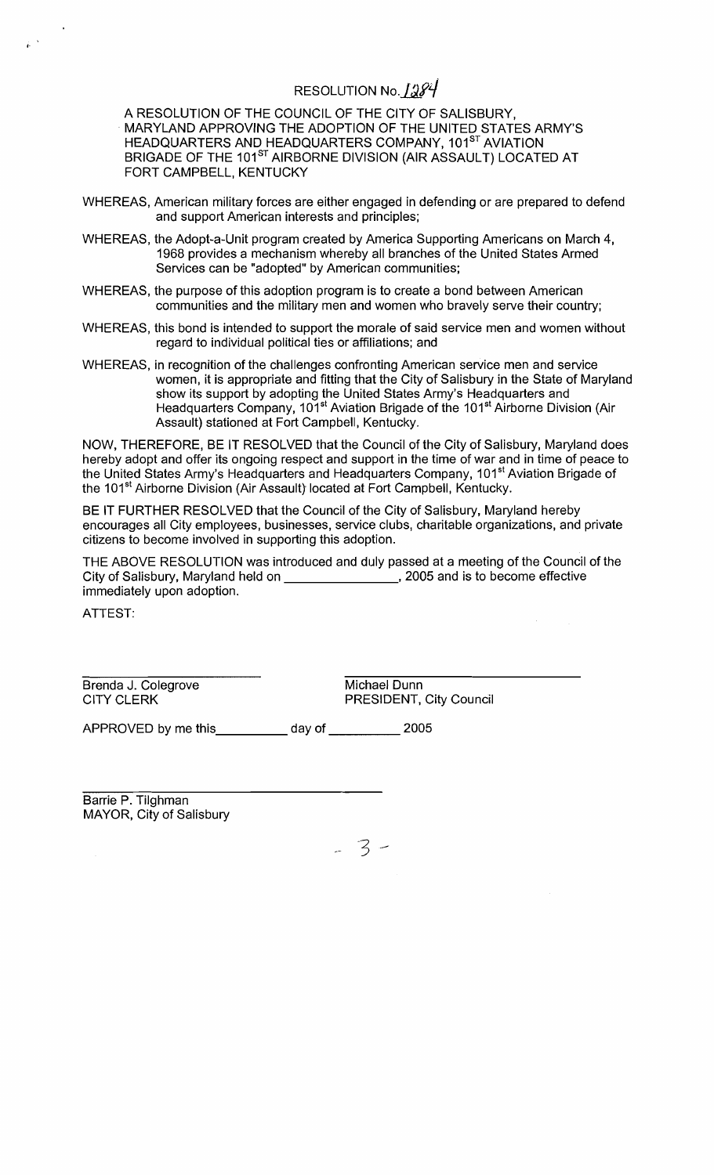# RESOLUTION No. 1284

A RESOLUTION OF THE COUNCIL OF THE ClTY OF SALISBURY, MARYLAND APPROVING THE ADOPTION OF THE UNITED STATES ARMY'S HEADQUARTERS AND HEADQUARTERS COMPANY, 101<sup>st</sup> AVIATION BRIGADE OF THE 101<sup>st</sup> AIRBORNE DIVISION (AIR ASSAULT) LOCATED AT FORT CAMPBELL, KENTUCKY

- WHEREAS, American military forces are either engaged in defending or are prepared to defend and support American interests and principles;
- WHEREAS, the Adopt-a-Unit program created by America Supporting Americans on March 4, 1968 provides a mechanism whereby all branches of the United States Armed Services can be "adopted" by American communities;
- WHEREAS, the purpose of this adoption program is to create a bond between American communities and the military men and women who bravely serve their country;
- WHEREAS, this bond is intended to support the morale of said service men and women without regard to individual political ties or affiliations; and
- WHEREAS, in recognition of the challenges confronting American service men and service women, it is appropriate and fitting that the City of Salisbury in the State of Maryland show its support by adopting the United States Army's Headquarters and Headquarters Company, 101<sup>st</sup> Aviation Brigade of the 101<sup>st</sup> Airborne Division (Air Assault) stationed at Fort Campbell, Kentucky.

NOW, THEREFORE, BE IT RESOLVED that the Council of the City of Salisbury, Maryland does hereby adopt and offer its ongoing respect and support in the time of war and in time of peace to the United States Army's Headquarters and Headquarters Company, 101<sup>st</sup> Aviation Brigade of the 101<sup>st</sup> Airborne Division (Air Assault) located at Fort Campbell, Kentucky.

BE IT FURTHER RESOLVED that the Council of the City of Salisbury, Maryland hereby encourages all City employees, businesses, service clubs, charitable organizations, and private citizens to become involved in supporting this adoption.

THE ABOVE RESOLUTION was introduced and duly passed at a meeting of the Council of the City of Salisbury, Maryland held on \_\_\_\_\_\_\_\_\_\_\_\_\_\_\_\_\_, 2005 and is to become effective immediately upon adoption.

ATTEST:

Brenda J. Colegrove Michael Dunn<br>CITY CLERK PRESIDENT,

PRESIDENT, City Council

APPROVED by me this day of 2005

Barrie P. Tilghman MAYOR, City of Salisbury

 $-3-$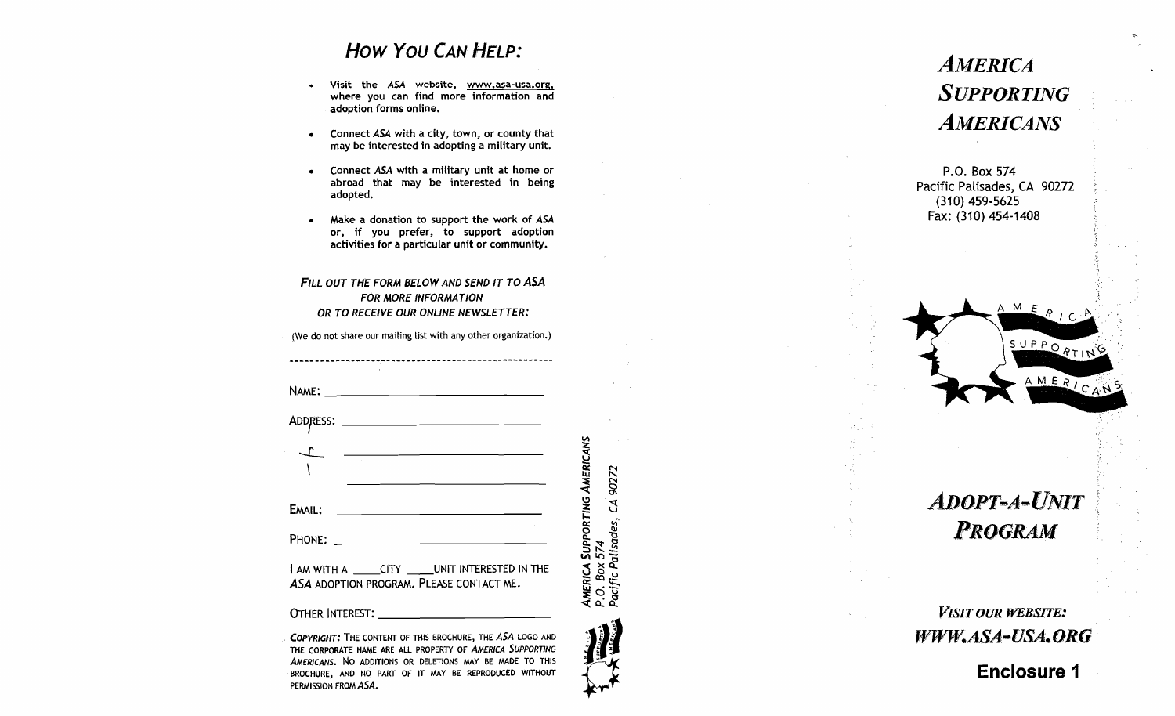## How You **CAN HELP:**

- **Visit the ASA website, www,asa-usa.orq,**  where you can find more information and adoption forms online.
- Connect **ASA** with a city, town, or county that  $\bullet$ may be interested in adopting a military unit.
- Connect **ASA** with a military unit at home or  $\bullet$ abroad that may be interested in being adopted.
- Make a donation to support the work of **ASA**  or, if you prefer, to support adoption activities for a particular unit or community.

#### **FILL OUT THE FORM BELOW AND SEND IT TO ASA FOR MORE INFORMATION OR TO RECEIVE OUR ONLINE NEWSLETTER:**

(We do not share our mailing list with any other organization.)

| <u> 1989 - John Stein, mars and de Britain and de Britain and de Britain and de Britain and de Britain and de Bri</u>  |                                                                             |
|------------------------------------------------------------------------------------------------------------------------|-----------------------------------------------------------------------------|
| Email: ______ <del>___________________________</del> ____                                                              |                                                                             |
|                                                                                                                        |                                                                             |
| I AM WITH A ______CITY ______ UNIT INTERESTED IN THE<br>ASA ADOPTION PROGRAM. PLEASE CONTACT ME.                       | AMERICA SUPPORTING AMERICANS<br>P.O. Box 574<br>Pacific Palisades, CA 90272 |
|                                                                                                                        |                                                                             |
| COPYRIGHT: THE CONTENT OF THIS BROCHURE, THE ASA LOGO AND<br>THE CORROBATE NAME ARE ALL RROBERTY OF AMERICA SUPPORTING |                                                                             |

THE CORPORATE NAME ARE ALL PROPERTY OF **AMERICA SUPPORTING AMERICANS.** NO ADDITIONS OR DELETIONS MAY BE MADE TO THIS BROCHURE, AND NO PART OF IT MAY BE REPRODUCED WITHOUT PERMISSiON FROM **&SA.** 

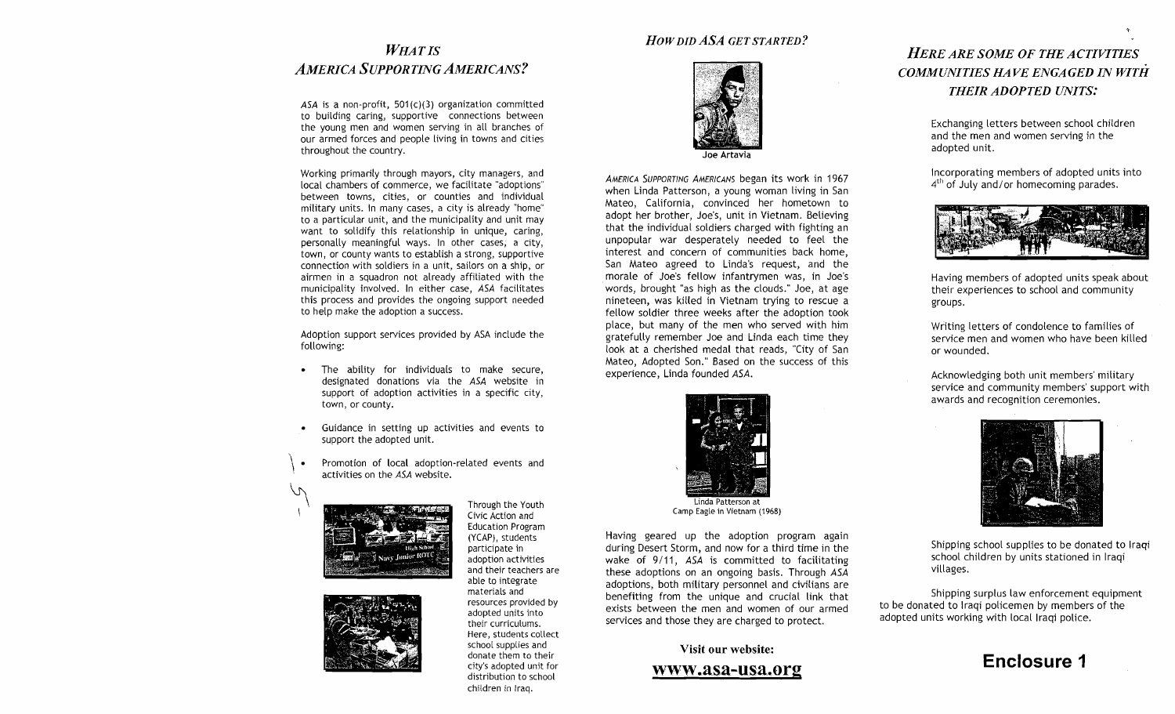## **WHAT IS AMERICA SUPPORTING AMERICANS?**

**ASA** is a non-profit, 501(c)(3) organization committed to building caring, supportive connections between the young men and women serving in all branches of our armed forces and people living in towns and cities throughout the country.

Working primarily through mayors, city managers, and local chambers of commerce, we facilitate "adoptions" between towns, cities, or counties and individual military units. In many cases, a city is already "home" to a particular unit, and the municipality and unit may want to solidify this relationship in unique, caring, personally meaningful ways. In other cases, a city, town, or county wants to establish a strong, supportive connection with soldiers in a unit, sailors on a ship, or airmen in a squadron not already affiliated with the municipality involved. In either case, **ASA** facilitates this process and provides the ongoing support needed to help make the adoption a success.

Adoption support services provided by ASA inciude the following:

- The ability for individuals to make secure, designated donations via the **ASA** website in support of adoption activities in a specific city, town, or county.
- Guidance in setting up activities and events to support the adopted unit.
- Promotion of local adoption-related events and activities on the **ASA** website.





Through the Youth Civic Action and Education Program (YCAP), students participate in adoption activities and their teachers are able to integrate materials and resources provided by adopted units into their curriculums. Here, students collect school supplies and donate them to their city's adopted unit for distribution to school children in Iraq.

#### *HOWDID ASA GETSTARTED?*



**Joe Artavia** 

**AMERICA SUPPORTING AMERICANS** began its work in 1967 when Linda Patterson, a young woman living in San Mateo, California, convinced her hometown to adopt her brother, Joe's, unit in Vietnam. Betieving that the individual soldiers charged with fighting an unpopular war desperately needed to feel the interest and concern of communities back home, San Mateo agreed to Linda's request, and the morale of Joe's fellow infantrymen was, in Joe's words, brought "as high as the clouds." Joe, at age nineteen, was killed in Vietnam trying to rescue a fellow soldier three weeks after the adoption took place, but many of the men who served with him gratefully remember Joe and Linda each time they look at a cherished medal that reads, "City of San Mateo, Adopted Son." Based on the success of this experience, Linda founded **ASA.** 



Having geared up the adoption program again during Desert Storm, and now for a third time in the wake of 9/11, **ASA** is committed to facilitating these adoptions on an ongoing basis. Through **ASA**  adoptions, both military personnel and civilians are benefiting from the unique and crucial link that exists between the men and women of our armed services and those they are charged to protect.

#### **Visit our website:**

#### www.asa-usa.org

## *HERE ARE SOME OF THE ACTIVITIES COMMUNITIES HA VE ENGAGED IN WITH THEIR ADOPTED UNITS.'*

Exchanging letters between school children and the men and women serving in the adopted unit.

Incorporating members of adopted units into  $4<sup>th</sup>$  of July and/or homecoming parades.



Having members of adopted units speak about their experiences to school and community groups.

Writing letters of condolence to families of service men and women who have been killed or wounded.

Acknowledging both unit members' military service and community members' support with awards and recognition ceremonies.



Shipping school supplies to be donated to lraqi school children by units stationed in lraqi villages.

Shipping surplus law enforcement equipment to be donated to lraqi policemen by members of the adopted units working with local lraqi police.

# **Enclosure 1**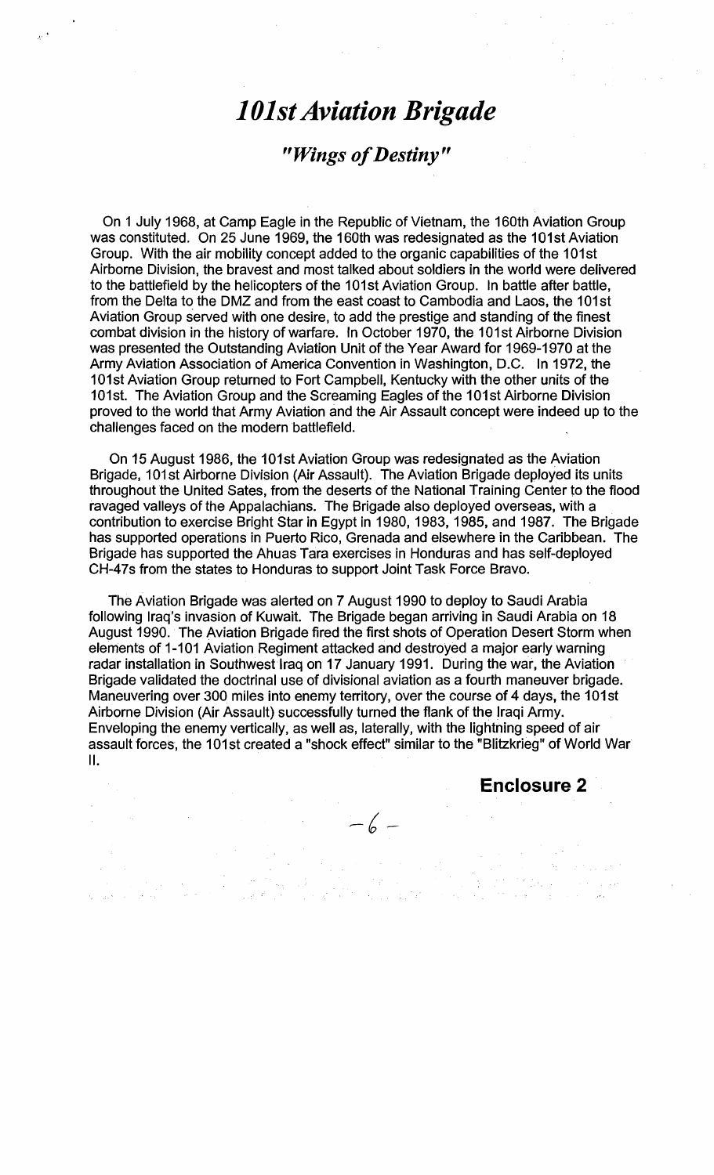# *1 Olst Aviation Brigade*

# *"Wings of Destiny* "

On 1 July 1968, at Camp Eagle in the Republic of Vietnam, the 160th Aviation Group was constituted. On 25 June 1969, the 160th was redesignated as the 101st Aviation Group. With the air mobility concept added to the organic capabilities of the 101st Airborne Division, the bravest and most talked about soldiers in the world were delivered to the battlefield by the helicopters of the 101st Aviation Group. In battle after battle, from the Delta to the DMZ and from the east coast to Cambodia and Laos, the 101st Aviation Group served with one desire, to add the prestige and standing of the finest combat division in the history of warfare. In October 1970, the 101st Airborne Division was presented the Outstanding Aviation Unit of the Year Award for 1969-1970 at the Army Aviation Association of America Convention in Washington, D.C. In 1972, the 101st Aviation Group returned to Fort Campbell, Kentucky with the other units of the 101st. The Aviation Group and the Screaming Eagles of the 101st Airborne Division proved to the world that Army Aviation and the Air Assault concept were indeed up to the challenges faced on the modern battlefield.

On 15 August 1986, the IOlst Aviation Group was redesignated as the Aviation Brigade, 101st Airborne Division (Air Assault). The Aviation Brigade deployed its units throughout the United Sates, from the deserts of the National Training Center to the flood ravaged valleys of the Appalachians. The Brigade also deployed overseas, with a contribution to exercise Bright Star in Egypt in 1980, 1983, 1985, and 1987. The Brigade has supported operations in Puerto Rico, Grenada and elsewhere in the Caribbean. The Brigade has supported the Ahuas Tara exercises in Honduras and has self-deployed CH-47s from the states to Honduras to support Joint Task Force Bravo.

The Aviation Brigade was alerted on 7 August I990 to deploy to Saudi Arabia following Iraq's invasion of Kuwait. The Brigade began arriving in Saudi Arabia on 18 August 1990. The Aviation Brigade fired the first shots of Operation Desert Storm when elements of 1-101 Aviation Regiment attacked and destroyed a major early warning radar installation in Southwest Iraq on 17 January 1991. During the war, the Aviation Brigade validated the doctrinal use of divisional aviation as a fourth maneuver brigade. Maneuvering over 300 miles into enemy territory, over the course of 4 days, the 101st Airborne Division (Air Assault) successfully turned the flank of the Iraqi Army. Enveloping the enemy vertically, as well as, laterally, with the lightning speed of air assault forces, the 101st created a "shock effect" similar to the "Blitzkrieg" of World War II.

 $-6-$ 

**Enclosure 2**